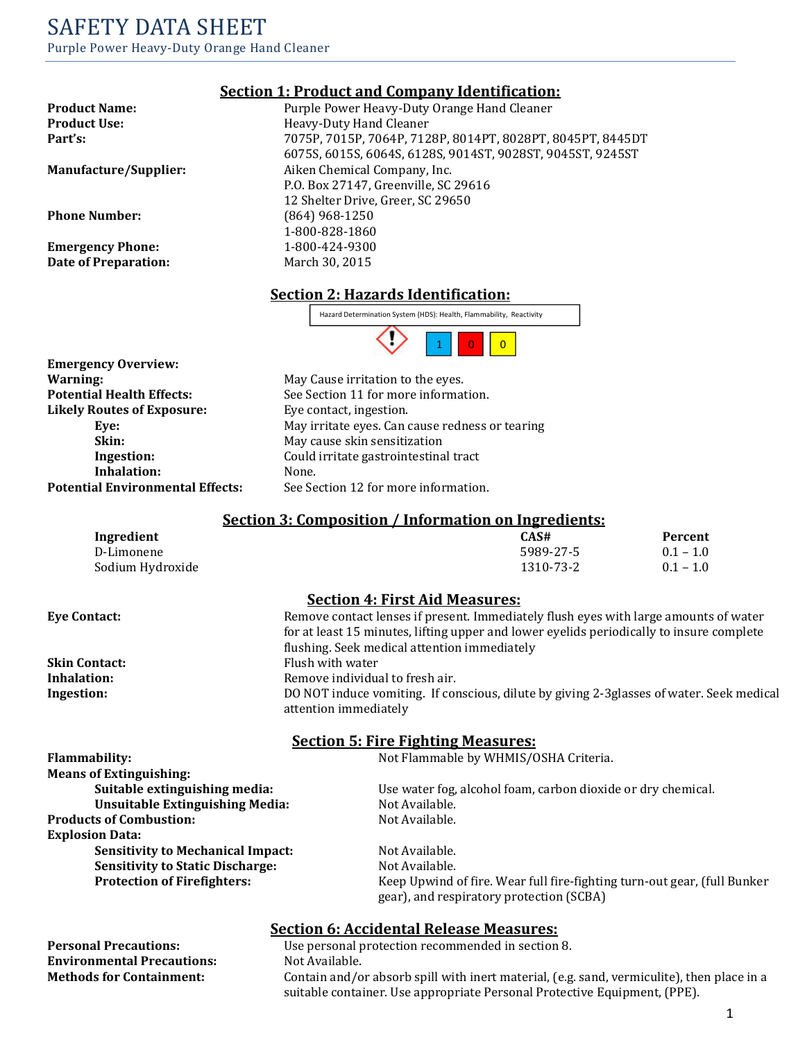# SAFETY DATA SHEET Purple Power Heavy-Duty Orange Hand Cleaner

Emergency Phone: 1-800-424-9300 Date of Preparation: March 30, 2015

### Section 1: Product and Company Identification:

Product Name: Purple Power Heavy-Duty Orange Hand Cleaner Product Use: Heavy-Duty Hand Cleaner Part's: 7075P, 7015P, 7064P, 7128P, 8014PT, 8028PT, 8045PT, 8445DT 6075S, 6015S, 6064S, 6128S, 9014ST, 9028ST, 9045ST, 9245ST Manufacture/Supplier: Aiken Chemical Company, Inc. P.O. Box 27147, Greenville, SC 29616 12 Shelter Drive, Greer, SC 29650 Phone Number: (864) 968-1250 1-800-828-1860

### Section 2: Hazards Identification:



Emergency Overview: Warning: Warning: May Cause irritation to the eyes. Likely Routes of Exposure: Eye contact, ingestion. Inhalation: None.

**Potential Health Effects:** See Section 11 for more information. Eye: May irritate eyes. Can cause redness or tearing Skin: May cause skin sensitization Ingestion: Could irritate gastrointestinal tract Potential Environmental Effects: See Section 12 for more information.

#### Section 3: Composition / Information on Ingredients:

| Ingredient       | CAS#      | Percent     |
|------------------|-----------|-------------|
| D-Limonene       | 5989-27-5 | $0.1 - 1.0$ |
| Sodium Hydroxide | 1310-73-2 | $0.1 - 1.0$ |

#### Section 4: First Aid Measures:

**Environmental Precautions:** 

Eye Contact: Remove contact lenses if present. Immediately flush eyes with large amounts of water for at least 15 minutes, lifting upper and lower eyelids periodically to insure complete flushing. Seek medical attention immediately Skin Contact: Flush with water Inhalation: Remove individual to fresh air. Ingestion: DO NOT induce vomiting. If conscious, dilute by giving 2-3glasses of water. Seek medical

attention immediately

#### Section 5: Fire Fighting Measures:

Flammability: Not Flammable by WHMIS/OSHA Criteria.

| <b>Means of Extinguishing:</b>           |                                                                                                                      |
|------------------------------------------|----------------------------------------------------------------------------------------------------------------------|
| Suitable extinguishing media:            | Use water fog, alcohol foam, carbon dioxide or dry chemical.                                                         |
| <b>Unsuitable Extinguishing Media:</b>   | Not Available.                                                                                                       |
| <b>Products of Combustion:</b>           | Not Available.                                                                                                       |
| <b>Explosion Data:</b>                   |                                                                                                                      |
| <b>Sensitivity to Mechanical Impact:</b> | Not Available.                                                                                                       |
| <b>Sensitivity to Static Discharge:</b>  | Not Available.                                                                                                       |
| <b>Protection of Firefighters:</b>       | Keep Upwind of fire. Wear full fire-fighting turn-out gear, (full Bunker<br>gear), and respiratory protection (SCBA) |

### Section 6: Accidental Release Measures:

**Personal Precautions:** Use personal protection recommended in section 8.<br> **Environmental Precautions:** Not Available. Methods for Containment: Contain and/or absorb spill with inert material, (e.g. sand, vermiculite), then place in a suitable container. Use appropriate Personal Protective Equipment, (PPE).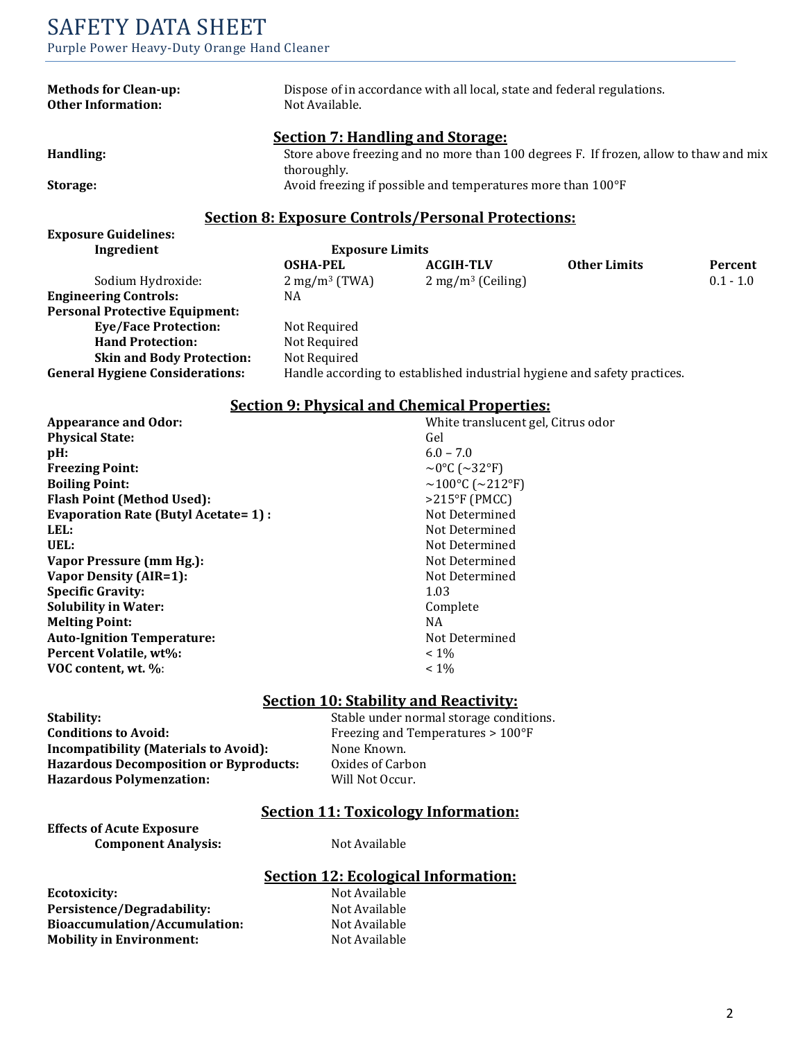| <b>Methods for Clean-up:</b><br><b>Other Information:</b> | Dispose of in accordance with all local, state and federal regulations.<br>Not Available. |                                                             |                     |             |
|-----------------------------------------------------------|-------------------------------------------------------------------------------------------|-------------------------------------------------------------|---------------------|-------------|
|                                                           | <b>Section 7: Handling and Storage:</b>                                                   |                                                             |                     |             |
| Handling:                                                 | Store above freezing and no more than 100 degrees F. If frozen, allow to thaw and mix     |                                                             |                     |             |
|                                                           | thoroughly.                                                                               |                                                             |                     |             |
| Storage:                                                  |                                                                                           | Avoid freezing if possible and temperatures more than 100°F |                     |             |
|                                                           |                                                                                           |                                                             |                     |             |
|                                                           |                                                                                           | <b>Section 8: Exposure Controls/Personal Protections:</b>   |                     |             |
| <b>Exposure Guidelines:</b>                               |                                                                                           |                                                             |                     |             |
| Ingredient                                                | <b>Exposure Limits</b>                                                                    |                                                             |                     |             |
|                                                           | <b>OSHA-PEL</b>                                                                           | <b>ACGIH-TLV</b>                                            | <b>Other Limits</b> | Percent     |
| Sodium Hydroxide:                                         | $2 \text{ mg/m}^3 \text{ (TWA)}$                                                          | $2 \text{ mg/m}^3$ (Ceiling)                                |                     | $0.1 - 1.0$ |
| <b>Engineering Controls:</b>                              | NA                                                                                        |                                                             |                     |             |
| <b>Personal Protective Equipment:</b>                     |                                                                                           |                                                             |                     |             |
| <b>Eye/Face Protection:</b>                               | Not Required                                                                              |                                                             |                     |             |
| <b>Hand Protection:</b>                                   | Not Required                                                                              |                                                             |                     |             |
| <b>Skin and Body Protection:</b>                          | Not Required                                                                              |                                                             |                     |             |
| <b>General Hygiene Considerations:</b>                    | Handle according to established industrial hygiene and safety practices.                  |                                                             |                     |             |
|                                                           |                                                                                           |                                                             |                     |             |

#### Section 9: Physical and Chemical Properties:

| <b>Appearance and Odor:</b>                  | White translucent gel, Citrus odor |
|----------------------------------------------|------------------------------------|
| <b>Physical State:</b>                       | Gel                                |
| $pH$ :                                       | $6.0 - 7.0$                        |
| <b>Freezing Point:</b>                       | ~0°C (~32°F)                       |
| <b>Boiling Point:</b>                        | ~100°C (~212°F)                    |
| <b>Flash Point (Method Used):</b>            | $>215^{\circ}F$ (PMCC)             |
| <b>Evaporation Rate (Butyl Acetate = 1):</b> | Not Determined                     |
| LEL:                                         | Not Determined                     |
| UEL:                                         | Not Determined                     |
| Vapor Pressure (mm Hg.):                     | Not Determined                     |
| Vapor Density (AIR=1):                       | Not Determined                     |
| <b>Specific Gravity:</b>                     | 1.03                               |
| <b>Solubility in Water:</b>                  | Complete                           |
| <b>Melting Point:</b>                        | NA.                                |
| <b>Auto-Ignition Temperature:</b>            | Not Determined                     |
| Percent Volatile, wt%:                       | $~1\%$                             |
| VOC content, wt. %:                          | $< 1\%$                            |

#### Section 10: Stability and Reactivity:

| Stability:                                    |
|-----------------------------------------------|
| <b>Conditions to Avoid:</b>                   |
| <b>Incompatibility (Materials to Avoid):</b>  |
| <b>Hazardous Decomposition or Byproducts:</b> |
| <b>Hazardous Polymenzation:</b>               |

Stable under normal storage conditions. Freezing and Temperatures > 100°F None Known. Oxides of Carbon Will Not Occur.

## Section 11: Toxicology Information:

Effects of Acute Exposure Component Analysis: Not Available

# Section 12: Ecological Information:

Ecotoxicity: Not Available Persistence/Degradability: Not Available<br>Bioaccumulation/Accumulation: Not Available Bioaccumulation/Accumulation: Mobility in Environment: Not Available